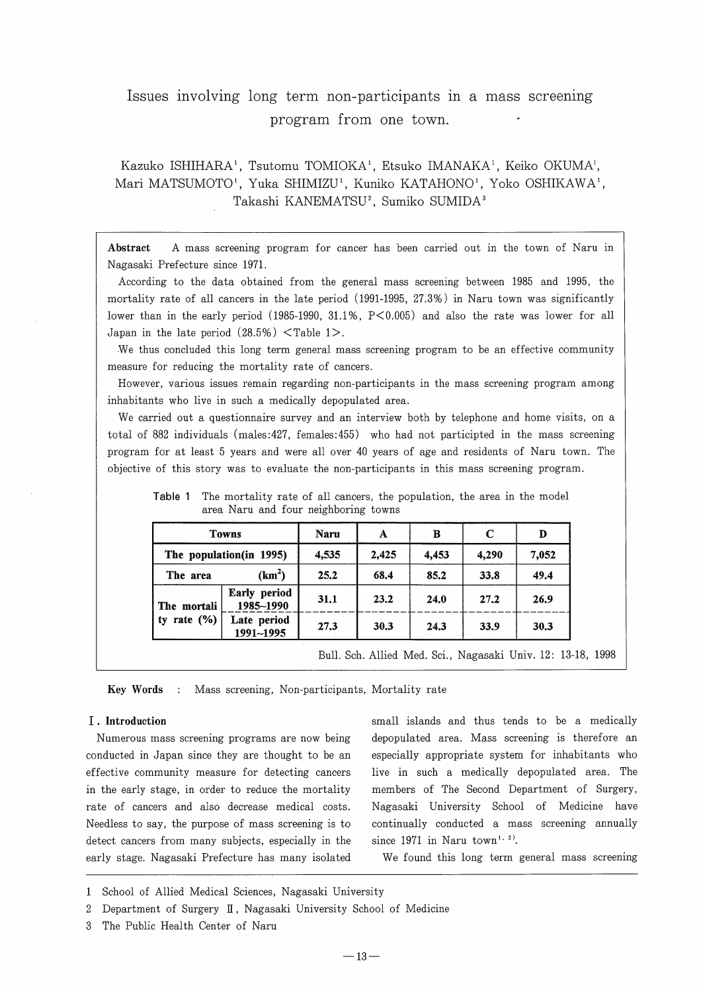# Issues involving long term non-participants in a mass screening program from one town.

Kazuko ISHIHARA<sup>1</sup>, Tsutomu TOMIOKA<sup>1</sup>, Etsuko IMANAKA<sup>1</sup>, Keiko OKUMA<sup>1</sup>, Mari MATSUMOTO<sup>1</sup>, Yuka SHIMIZU<sup>1</sup>, Kuniko KATAHONO<sup>1</sup>, Yoko OSHIKAWA<sup>1</sup>, Takashi KANEMATSU<sup>2</sup>, Sumiko SUMIDA<sup>3</sup>

Abstract A mass screening program for cancer has been carried out in the town of Naru in Nagasaki Prefecture since 1971.

According to the data obtained from the general mass screening between 1985 and 1995, the mortality rate of all cancers in the late period (1991-1995, 27.3%) in Naru town was significantly lower than in the early period (1985-1990, 31.1%, P<0.005) and also the rate was lower for all Japan in the late period  $(28.5\%)$  < Table 1>.

We thus concluded this long term general mass screening program to be an effective community measure for reducing the mortality rate of cancers.

However, various issues remain regarding non-participants in the mass screening program among inhabitants who live in such a medically depopulated area.

We carried out a questionnaire survey and an interview both by telephone and home visits, on a total of 882 individuals (males:427, females:455) who had not participted in the mass screening program for at least 5 years and were all over 40 years of age and residents of Naru town. The objective of this story was to evaluate the non-participants in this mass screening program.

| <b>Towns</b><br>The population(in 1995) |                           | Naru  | A     | в     | $\mathbf C$ | D     |
|-----------------------------------------|---------------------------|-------|-------|-------|-------------|-------|
|                                         |                           | 4,535 | 2,425 | 4,453 | 4,290       | 7,052 |
| The area                                | (km <sup>2</sup> )        | 25.2  | 68.4  | 85.2  | 33.8        | 49.4  |
| The mortali<br>rate $(\% )$<br>tv       | Early period<br>1985~1990 | 31.1  | 23.2  | 24.0  | 27.2        | 26.9  |
|                                         | Late period<br>1991~1995  | 27.3  | 30.3  | 24.3  | 33.9        | 30.3  |

Table 1 The mortality rate of all cancers, the population, the area in the model area Naru and four neighboring towns

Key Words : Mass screening, Non-participants, Mortality rate

#### I . Introduction

Numerous mass screening programs are now being conducted in Japan since they are thought to be an effective community measure for detecting cancers in the early stage, in order to reduce the mortality rate of cancers and also decrease medical costs. Needless to say, the purpose of mass screening is to detect cancers from many subjects, especially in the early stage. Nagasaki Prefecture has many isolated small islands and thus tends to be a medically depopulated area. Mass screening is therefore an especially appropriate system for inhabitants who live in such a medically depopulated area. The members of The Second Department of Surgery, Nagasaki University School of Medicine have continually conducted a mass screening annually since 1971 in Naru town<sup>1, 2)</sup>.

We found this long term general mass screening

<sup>1</sup> School of Allied Medical Sciences, Nagasaki University

<sup>2</sup> Department of Surgery II, Nagasaki University School of Medicine

<sup>3</sup> The Public Health Center of Naru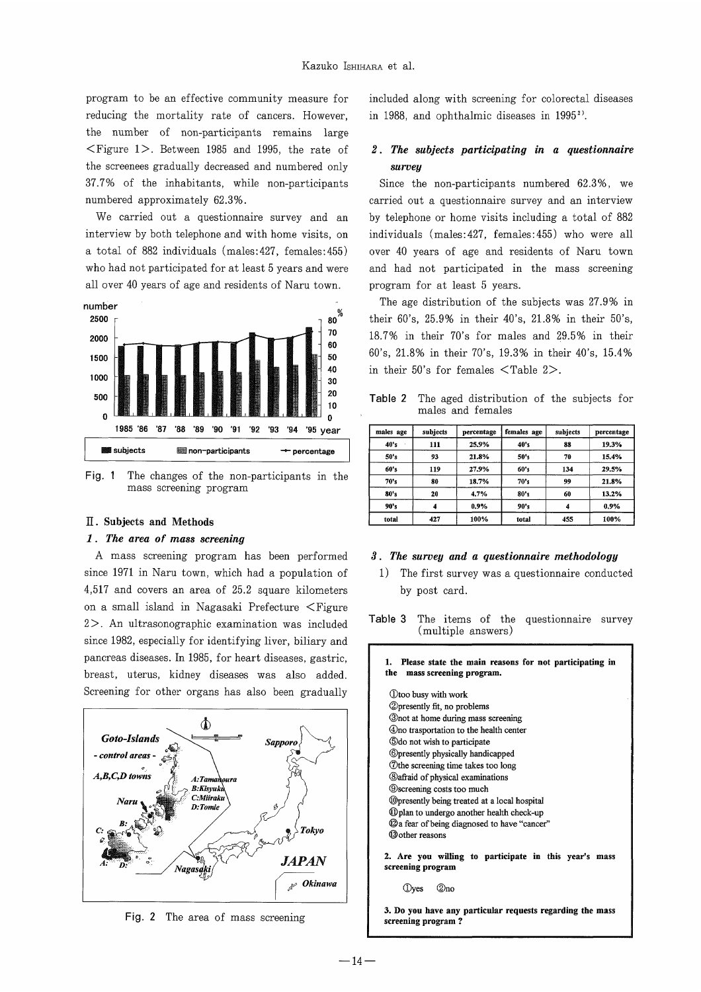program to be an effective community measure for reducing the mortality rate of cancers. However, the number of non-participants remains large  $\leq$  Figure 1>. Between 1985 and 1995, the rate of the screenees gradually decreased and numbered only 37.70/0 of the inhabitants, while non-participants numbered approximately 62.3%.

We carried out a questionnaire survey and an interview by both telephone and with home visits, on a total of 882 individuals (males:427, females:455) who had not participated for at least 5 years and were all over 40 years of age and residents of Naru town.



Fig. 1 The changes of the non-participants in the mass screening program

#### II . Subjects and Methods

#### 1 . The area of mass screening

A mass screening program has been performed since 1971 in Naru town, which had a population of 4,517 and covers an area of 25.2 square kilometers on a small island in Nagasaki Prefecture <Figure  $2$ . An ultrasonographic examination was included since 1982, especially for identifying liver, biliary and pancreas diseases. In 1985, for heart diseases, gastric, breast, uterus, kidney diseases was also added. Screening for other organs has also been gradually



Fig. 2 The area of mass screening

included along with screening for colorectal diseases in 1988, and ophthalmic diseases in 19952).

### 2 . The subjects participating in a questionnaire survey

Since the non-participants numbered  $62.3\%$ , we carried out a questionnaire survey and an interview by telephone or home visits including a total of 882 individuals (males: 427, females: 455) who were all over 40 years of age and residents of Naru town and had not participated in the mass screening program for at least 5 years.

The age distribution of the subjects was 27.9% in their 60's, 25.9% in their 40's, 21.8% in their 50's, 18.7% in their 70's for males and 29.5% in their 60's, 21.8% in their 70's, 19.3% in their 40's, 15.4% in their 50's for females  $\langle$ Table 2 $\rangle$ .

Table 2. The aged distribution of the subjects for males and females

| males age | subjects | percentage | females age | subjects | percentage |
|-----------|----------|------------|-------------|----------|------------|
| 40's      | 111      | 25.9%      | 40's        | 88       | 19.3%      |
| 50's      | 93       | 21.8%      | 50's        | 70       | 15.4%      |
| 60's      | 119      | 27.9%      | 60's        | 134      | 29.5%      |
| 70's      | 80       | 18.7%      | 70's        | 99       | 21.8%      |
| 80's      | 20       | 4.7%       | 80's        | 60       | 13.2%      |
| 90's      | 4        | 0.9%       | 90's        | 4        | 0.9%       |
| total     | 427      | 100%       | total       | 455      | 100%       |

#### 3 . The survey and a questionnaire methodology

1) The first survey was a questionnaire conducted by post card.

Table 3 The items of the questionnaire survey (multiple answers)

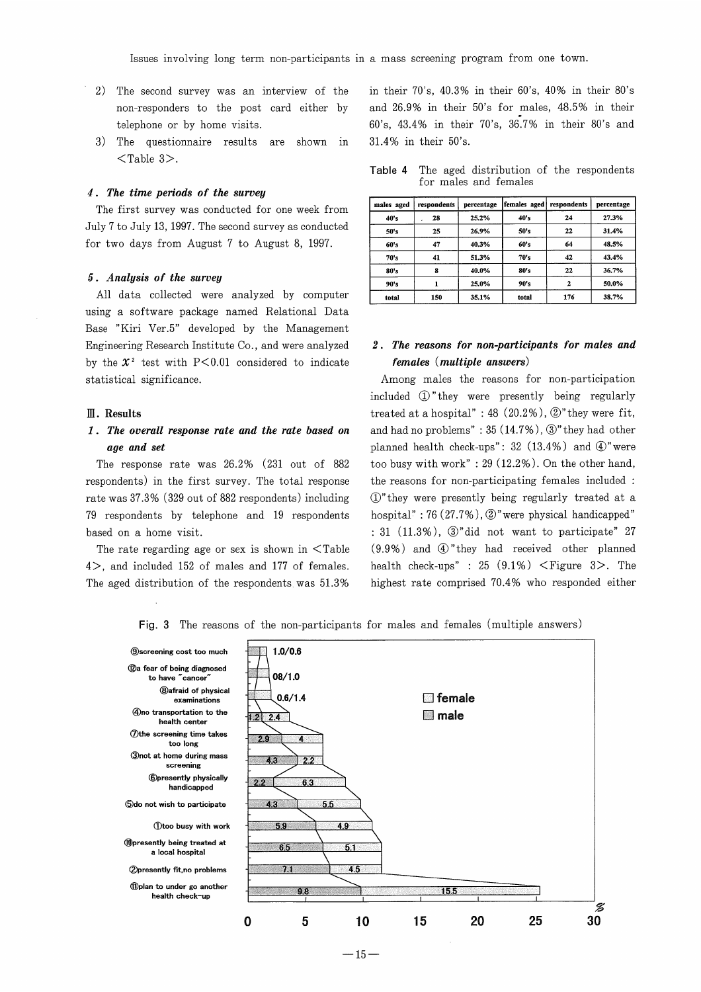- 2) The second survey was an interview of the non-responders to the post card either by telephone or by horne visits.
- 3 ) The questionnaire results are shown in  $\langle$ Table 3>.

#### 4 . The time periods of the survey

The first survey was conducted for one week from July 7 to July 13, 1997. The second survey as conducted for two days from August 7 to August 8, 1997.

#### 5 . Analysis of the survey

All data collected were analyzed by computer using a software package named Relational Data Base "Kiri Ver.5" developed by the Management Engineering Research Institute Co. , and were analyzed by the  $x^2$  test with P<0.01 considered to indicate statistical significance.

#### EI . Results

### 1. The overall response rate and the rate based on age and set

The response rate was  $26.2\%$  (231 out of 882 respondents) in the first survey. The total response rate was 37.3% (329 out of 882 respondents) including 79 respondents by telephone and 19 respondents based on a home visit.

The rate regarding age or sex is shown in  $\leq$  Table 4>, and included 152 of males and 177 of females. The aged distribution of the respondents was 51.3%

in their  $70's$ ,  $40.3\%$  in their  $60's$ ,  $40\%$  in their  $80's$ and 26.9% in their 50's for males, 48.5% in their 60's, 43.4% in their 70's, 36.7% in their 80's and 31.4% in their 50's.

|  |  |                       |  | <b>Table 4</b> The aged distribution of the respondents |
|--|--|-----------------------|--|---------------------------------------------------------|
|  |  | for males and females |  |                                                         |

| males aged | respondents | percentage | females aged | respondents | percentage |
|------------|-------------|------------|--------------|-------------|------------|
| 40's       | 28          | 25.2%      | 40's         | 24          | 27.3%      |
| 50's       | 25          | 26.9%      | 50's         | 22          | 31.4%      |
| 60's       | 47          | 40.3%      | 60's         | 64          | 48.5%      |
| 70's       | 41          | 51.3%      | 70's         | 42          | 43.4%      |
| 80's       | 8           | 40.0%      | 80's         | 22          | 36.7%      |
| 90's       |             | 25.0%      | 90's         | 2           | 50.0%      |
| total      | 150         | 35.1%      | total        | 176         | 38.7%      |

### 2 . The reasons for non-participants for males and females (multiple answers)

Among males the reasons for non-participation included  $\Phi$  " they were presently being regularly treated at a hospital" : 48  $(20.2\%)$ ,  $\circled{2}$ " they were fit, and had no problems" :  $35(14.7\%)$ ,  $\circled{3}$ " they had other planned health check-ups":  $32$  (13.4%) and  $\Phi$ "were too busy with work" :  $29(12.2\%)$ . On the other hand, the reasons for non-participating females included (1)" they were presently being regularly treated at a hospital": 76  $(27.7\%)$ ,  $\circled{2}$ " were physical handicapped"  $: 31$   $(11.3\%)$ ,  $\mathcal{D}$ "did not want to participate" 27  $(9.9%)$  and  $@$ " they had received other planned health check-ups" : 25  $(9.1\%)$  < Figure 3>. The highest rate comprised 70.4% who responded either

Fig. 3 The reasons of the non-participants for males and females (multiple answers)



 $-15-$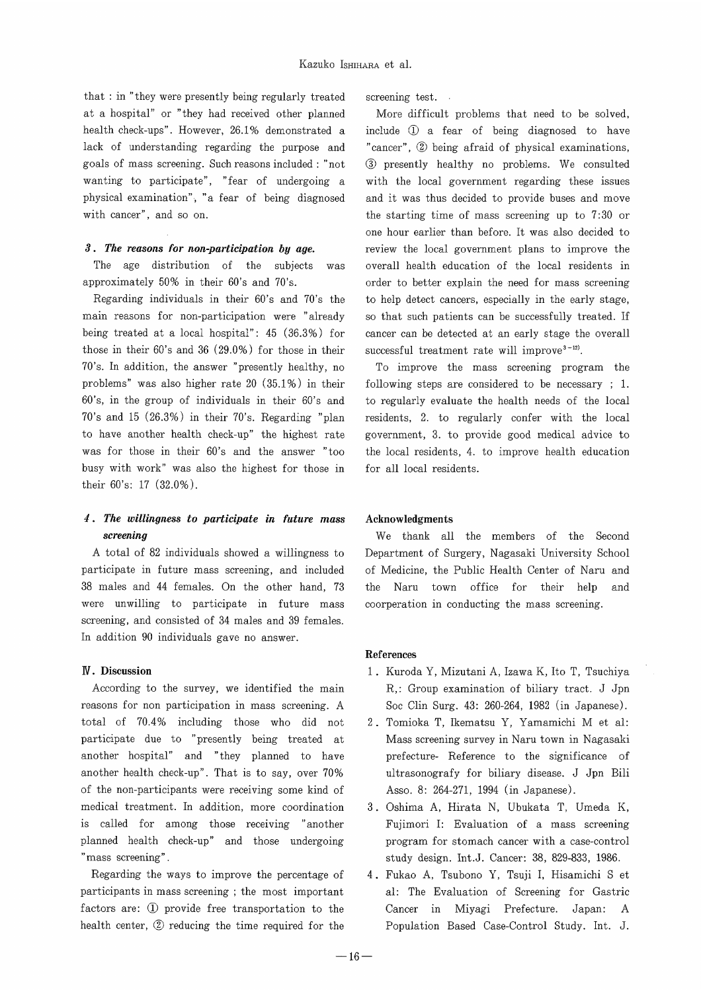that : in "they were presently being regularly treated screening test. at a hospital" or " they had received other planned More difficult problems that need to be solved health check-ups". However,  $26.1%$  demonstrated a include  $Q$  a fear of being diagnosed to have lack of understanding regarding the purpose and "cancer", 2 being afraid of physical examinations, goals of mass screening. Such reasons included : "not (3) presently healthy no problems. We consulted wanting to participate", "fear of undergoing a with the local government regarding these issues physical examination", "a fear of being diagnosed and it was thus decided to provide buses and move with cancer", and so on.  $\qquad \qquad$  the starting time of mass screening up to 7:30 or

approximately 50% in their 60's and 70's. order to better explain the need for mass screening

main reasons for non-participation were " already so that such patients can be successfully treated. If being treated at a local hospital": 45 (36.3%) for cancer can be detected at an early stage the overall those in their 60's and 36 (29.0%) for those in their successful treatment rate will improve<sup>3-12)</sup>. 70's. In addition, the answer "presently healthy, no To improve the mass screening program the problems" was also higher rate 20  $(35.1\%)$  in their following steps are considered to be necessary : 1. 60's, in the group of individuals in their 60's and to regularly evaluate the health needs of the local 70's and 15 (26.3%) in their 70's. Regarding "plan residents, 2. to regularly confer with the local to have another health check-up" the highest rate government, 3. to provide good medical advice to was for those in their 60's and the answer "too the local residents, 4. to improve health education busy with work" was also the highest for those in for all local residents. their  $60's$ : 17  $(32.0%)$ .

# 4 . The willingness to participate in future mass Acknowledgments

A total of 82 individuals showed a willingness to participate in future mass screening, and included of Medicine, the Public Health Center of Naru and 38 males and 44 females. On the other hand, 73 the Naru town office for their help and were unwilling to participate in future mass coorperation in conducting the mass screening. screening, and consisted of 34 males and 39 females. In addition 90 individuals gave no answer.

reasons for non participation in mass screening. A Soc Clin Surg. 43: 260-264, 1982 (in Japanese). total of 70.4% including those who did not 2. Tomioka T, Ikematsu Y, Yamamichi M et al: participate due to "presently being treated at Mass screening survey in Naru town in Nagasaki another hosprtal" and " they planned to have prefecture- Reference to the significance of another health check-up". That is to say, over 70% ultrasonografy for biliary disease. J Jpn Bili of the non-participants were receiving some kind of Asso. 8: 264-271, 1994 (in Japanese). medical treatment. In addition, more coordination 3 . Oshima A, Hirata N, Ubukata T, Umeda K, is called for among those receiving "another Fujimori I: Evaluation of a mass screening planned health check-up" and those undergoing program for stomach cancer with a case-control mass screening". The study design. Int.J. Cancer: 38, 829-833, 1986.

participants in mass screening ; the most important al: The Evaluation of Screening for Gastric factors are: ① provide free transportation to the Cancer in Miyagi Prefecture. Japan: A health center, 2 reducing the time required for the Population Based Case-Control Study. Int. J.

one hour earlier than before. It was also decided to 3. The reasons for non-participation by age. review the local government plans to improve the The age distribution of the subjects was overall health education of the local residents in Regarding individuals in their 60's and 70's the to help detect cancers, especially in the early stage,

screening<br>total of 82 individuals showed a willingness to Department of Surgery, Nagasaki University School

#### **References**

- IV . Discussion I . Kuroda Y, Mizutani A, Izawa K, Ito T, Tsuchiya According to the survey, we identified the main R,: Group examination of biliary tract. J Jpn
	-
	-
	- Regarding the ways to improve the percentage of 4 . Fukao A, Tsubono Y, Tsuji I, Hisamichi S et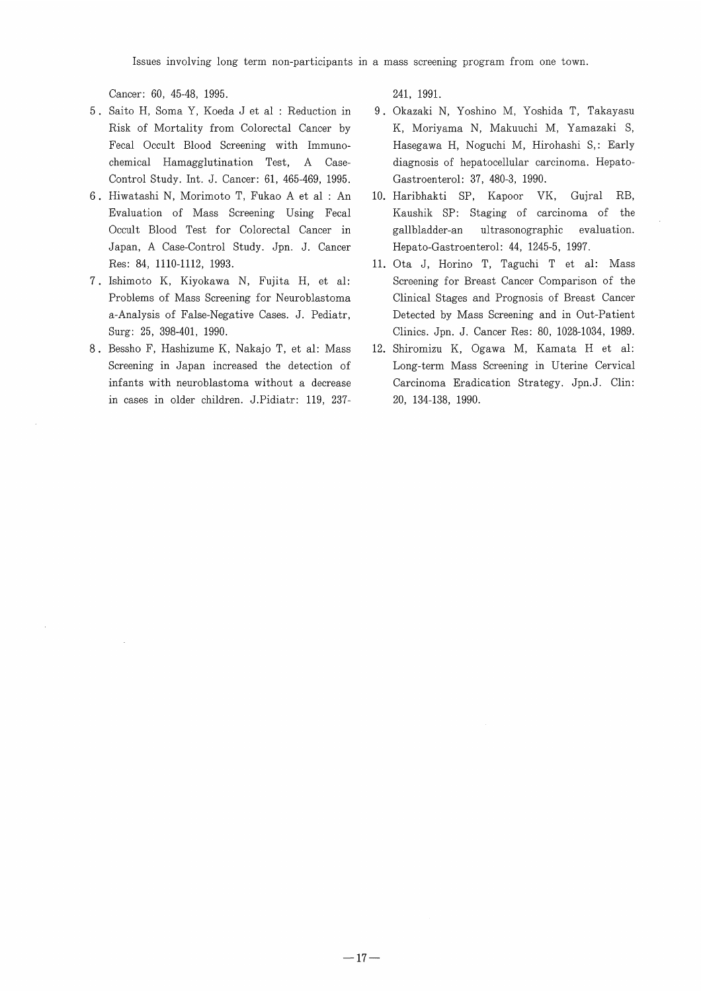Cancer: 60, 45-48, 1995.

- 5 . Saito H, Soma Y, Koeda J et al : Reduction in Risk of Mortality from Colorectal Cancer by Fecal Occult Blood Screening with Immunochemical Hamagglutination Test, A Case-Control Study. Int. J. Cancer: 61, 465-469, 1995.
- 6 . Hiwatashi N, Morimoto T, Fukao A et al : An Evaluation of Mass Screening Using Fecal Occult Blood Test for Colorectal Cancer in Japan, A Case-Control Study. Jpn. J. Cancer Res: 84, 1110-1112, 1993.
- 7 . Ishimoto K, Kiyokawa N, Fujita H, et al: Problems of Mass Screening for Neuroblastoma a-Analysis of False-Negative Cases. J. Pediatr, Surg: 25, 398-401, 1990.
- 8 . Bessho F, Hashizume K, Nakajo T, et al: Mass Screening in Japan increased the detection of infants with neuroblastoma without a decrease in cases in older children. J.Pidiatr: 119, 237-

241, 1991.

- Okazaki N, Yoshino M, Yoshida T, Takayasu 9 K, Moriyama N, Makuuchi M, Yamazaki S, Hasegawa H, Noguchi M, Hirohashi S,: Early diagnosis of hepatocellular carcinoma. Hepato-Gastroenterol: 37, 480-3, 1990.
- 10. Haribhakti SP, Kapoor VK, Gujral RB, Kaushik SP: Staging of carcinoma of the gallbladder-an ultrasonographic evaluation. Hepato-Gastroenterol: 44, 1245-5, 1997.
- ll. Ota J, Horino T, Taguchi T et al: Mass Screening for Breast Cancer Comparison of the Clinical Stages and Prognosis of Breast Cancer Detected by Mass Screening and in Out-Patient Clinics. Jpn. J. Cancer Res: 80, 1028-1034, 1989.
- 12. Shiromizu K, Ogawa M, Kamata H et al: Long-term Mass Screening in Uterine Cervical Carcinoma Eradication Strategy. Jpn.J. Clin: 20, 134-138, 1990.